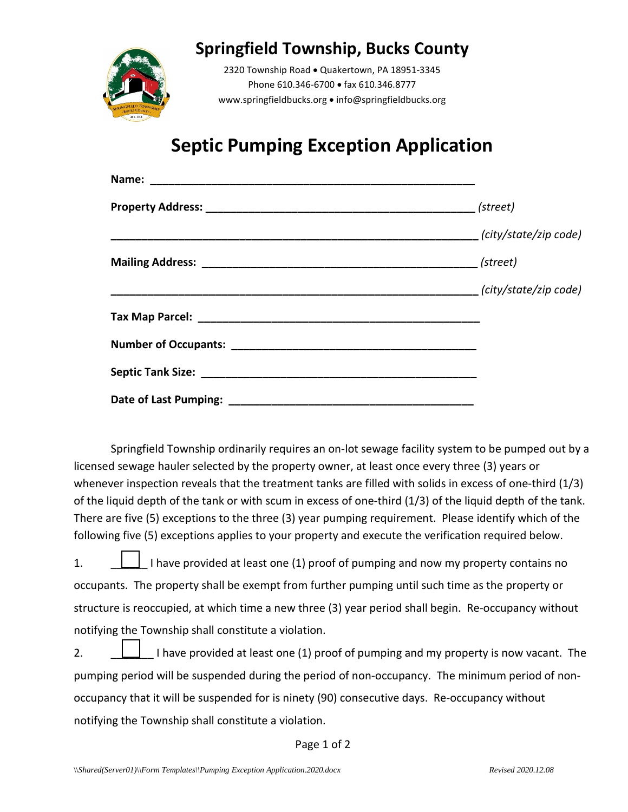

## **Springfield Township, Bucks County**

2320 Township Road • Quakertown, PA 18951-3345 Phone 610.346-6700 • fax 610.346.8777 [www.springfieldbucks.org](http://www.springfieldbucks.org/) • [info@springfieldbucks.org](mailto:info@springfieldbucks.org)

## **Septic Pumping Exception Application**

Springfield Township ordinarily requires an on-lot sewage facility system to be pumped out by a licensed sewage hauler selected by the property owner, at least once every three (3) years or whenever inspection reveals that the treatment tanks are filled with solids in excess of one-third (1/3) of the liquid depth of the tank or with scum in excess of one-third (1/3) of the liquid depth of the tank. There are five (5) exceptions to the three (3) year pumping requirement. Please identify which of the following five (5) exceptions applies to your property and execute the verification required below.

1.  $\Box$  I have provided at least one (1) proof of pumping and now my property contains no occupants. The property shall be exempt from further pumping until such time as the property or structure is reoccupied, at which time a new three (3) year period shall begin. Re-occupancy without notifying the Township shall constitute a violation.

2.  $\Box$  I have provided at least one (1) proof of pumping and my property is now vacant. The pumping period will be suspended during the period of non-occupancy. The minimum period of nonoccupancy that it will be suspended for is ninety (90) consecutive days. Re-occupancy without notifying the Township shall constitute a violation.

Page 1 of 2